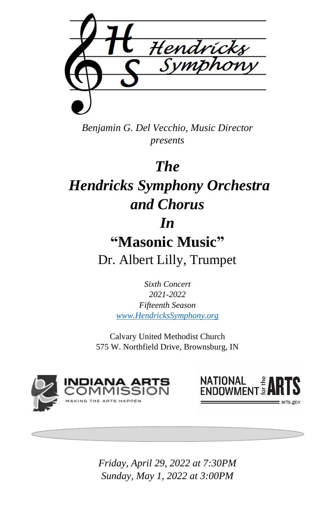

*Benjamin G. Del Vecchio, Music Director presents*

# *The*

# *Hendricks Symphony Orchestra and Chorus*

## *In*

# **"Masonic Music"** Dr. Albert Lilly, Trumpet

*Sixth Concert 2021-2022 Fifteenth Season [www.HendricksSymphony.org](http://www.hendrickssymphony.org/)*

Calvary United Methodist Church 575 W. Northfield Drive, Brownsburg, IN





*Friday, April 29, 2022 at 7:30PM Sunday, May 1, 2022 at 3:00PM*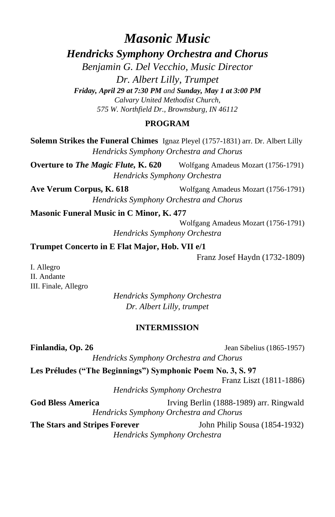## *Masonic Music*

*Hendricks Symphony Orchestra and Chorus*

*Benjamin G. Del Vecchio, Music Director Dr. Albert Lilly, Trumpet Friday, April 29 at 7:30 PM and Sunday, May 1 at 3:00 PM Calvary United Methodist Church, 575 W. Northfield Dr., Brownsburg, IN 46112*

#### **PROGRAM**

**Solemn Strikes the Funeral Chimes** Ignaz Pleyel (1757-1831) arr. Dr. Albert Lilly *Hendricks Symphony Orchestra and Chorus*

**Overture to** *The Magic Flute,* **K. 620** Wolfgang Amadeus Mozart (1756-1791) *Hendricks Symphony Orchestra*

**Ave Verum Corpus, K. 618** Wolfgang Amadeus Mozart (1756-1791) *Hendricks Symphony Orchestra and Chorus*

**Masonic Funeral Music in C Minor, K. 477**

Wolfgang Amadeus Mozart (1756-1791) *Hendricks Symphony Orchestra*

**Trumpet Concerto in E Flat Major, Hob. VII e/1** 

Franz Josef Haydn (1732-1809)

I. Allegro II. Andante III. Finale, Allegro

> *Hendricks Symphony Orchestra Dr. Albert Lilly, trumpet*

#### **INTERMISSION**

**Finlandia, Op. 26 Jean** Sibelius (1865-1957) *Hendricks Symphony Orchestra and Chorus* **Les Préludes ("The Beginnings") Symphonic Poem No. 3, S. 97** Franz Liszt (1811-1886) *Hendricks Symphony Orchestra* **God Bless America** Irving Berlin (1888-1989) arr. Ringwald *Hendricks Symphony Orchestra and Chorus* **The Stars and Stripes Forever** John Philip Sousa (1854-1932) *Hendricks Symphony Orchestra*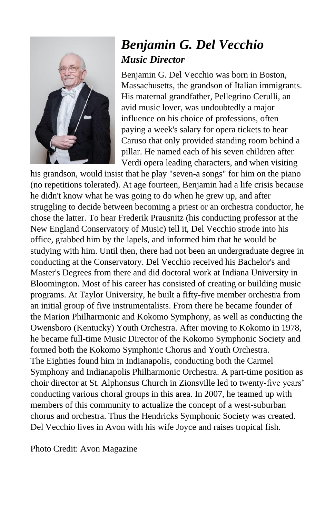

## *Benjamin G. Del Vecchio Music Director*

Benjamin G. Del Vecchio was born in Boston, Massachusetts, the grandson of Italian immigrants. His maternal grandfather, Pellegrino Cerulli, an avid music lover, was undoubtedly a major influence on his choice of professions, often paying a week's salary for opera tickets to hear Caruso that only provided standing room behind a pillar. He named each of his seven children after Verdi opera leading characters, and when visiting

his grandson, would insist that he play "seven-a songs" for him on the piano (no repetitions tolerated). At age fourteen, Benjamin had a life crisis because he didn't know what he was going to do when he grew up, and after struggling to decide between becoming a priest or an orchestra conductor, he chose the latter. To hear Frederik Prausnitz (his conducting professor at the New England Conservatory of Music) tell it, Del Vecchio strode into his office, grabbed him by the lapels, and informed him that he would be studying with him. Until then, there had not been an undergraduate degree in conducting at the Conservatory. Del Vecchio received his Bachelor's and Master's Degrees from there and did doctoral work at Indiana University in Bloomington. Most of his career has consisted of creating or building music programs. At Taylor University, he built a fifty-five member orchestra from an initial group of five instrumentalists. From there he became founder of the Marion Philharmonic and Kokomo Symphony, as well as conducting the Owensboro (Kentucky) Youth Orchestra. After moving to Kokomo in 1978, he became full-time Music Director of the Kokomo Symphonic Society and formed both the Kokomo Symphonic Chorus and Youth Orchestra. The Eighties found him in Indianapolis, conducting both the Carmel Symphony and Indianapolis Philharmonic Orchestra. A part-time position as choir director at St. Alphonsus Church in Zionsville led to twenty-five years' conducting various choral groups in this area. In 2007, he teamed up with members of this community to actualize the concept of a west-suburban chorus and orchestra. Thus the Hendricks Symphonic Society was created. Del Vecchio lives in Avon with his wife Joyce and raises tropical fish.

Photo Credit: Avon Magazine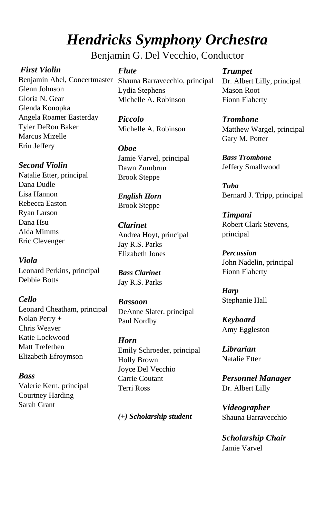# *Hendricks Symphony Orchestra*

Benjamin G. Del Vecchio, Conductor

### *First Violin*

Benjamin Abel, Concertmaster Shauna Barravecchio, principal Glenn Johnson Gloria N. Gear Glenda Konopka Angela Roamer Easterday Tyler DeRon Baker Marcus Mizelle Erin Jeffery

#### *Second Violin*

Natalie Etter, principal Dana Dudle Lisa Hannon Rebecca Easton Ryan Larson Dana Hsu Aida Mimms Eric Clevenger

### *Viola*

Leonard Perkins, principal Debbie Botts

### *Cello*

Leonard Cheatham, principal Nolan Perry + Chris Weaver Katie Lockwood Matt Trefethen Elizabeth Efroymson

*Bass* Valerie Kern, principal Courtney Harding Sarah Grant

### *Flute*

Lydia Stephens Michelle A. Robinson

*Piccolo* Michelle A. Robinson

#### *Oboe*

Jamie Varvel, principal Dawn Zumbrun Brook Steppe

*English Horn* Brook Steppe

### *Clarinet*

Andrea Hoyt, principal Jay R.S. Parks Elizabeth Jones

*Bass Clarinet* Jay R.S. Parks

#### *Bassoon*

DeAnne Slater, principal Paul Nordby

#### *Horn*

Emily Schroeder, principal Holly Brown Joyce Del Vecchio Carrie Coutant Terri Ross

*(+) Scholarship student*

#### *Trumpet* Dr. Albert Lilly, principal Mason Root

Fionn Flaherty *Trombone*

Matthew Wargel, principal Gary M. Potter

*Bass Trombone* Jeffery Smallwood

*Tuba* Bernard J. Tripp, principal

*Timpani* Robert Clark Stevens, principal

*Percussion* John Nadelin, principal Fionn Flaherty

*Harp* Stephanie Hall

*Keyboard* Amy Eggleston

*Librarian* Natalie Etter

*Personnel Manager* Dr. Albert Lilly

*Videographer* Shauna Barravecchio

*Scholarship Chair* Jamie Varvel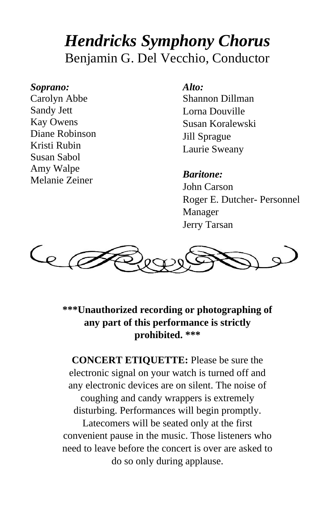# *Hendricks Symphony Chorus* Benjamin G. Del Vecchio, Conductor

### *Soprano:*

Carolyn Abbe Sandy Jett Kay Owens Diane Robinson Kristi Rubin Susan Sabol Amy Walpe Melanie Zeiner

### *Alto:*

Shannon Dillman Lorna Douville Susan Koralewski Jill Sprague Laurie Sweany

### *Baritone:*

John Carson Roger E. Dutcher- Personnel Manager Jerry Tarsan



**\*\*\*Unauthorized recording or photographing of any part of this performance is strictly prohibited. \*\*\***

**CONCERT ETIQUETTE:** Please be sure the electronic signal on your watch is turned off and any electronic devices are on silent. The noise of coughing and candy wrappers is extremely disturbing. Performances will begin promptly.

Latecomers will be seated only at the first convenient pause in the music. Those listeners who need to leave before the concert is over are asked to do so only during applause.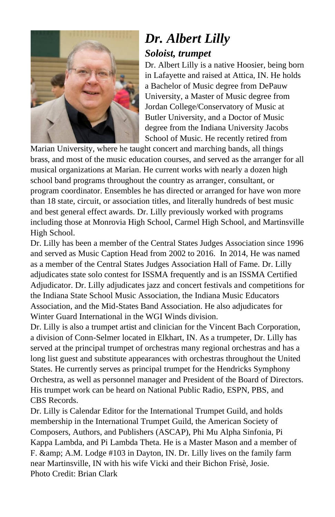

## *Dr. Albert Lilly Soloist, trumpet*

Dr. Albert Lilly is a native Hoosier, being born in Lafayette and raised at Attica, IN. He holds a Bachelor of Music degree from DePauw University, a Master of Music degree from Jordan College/Conservatory of Music at Butler University, and a Doctor of Music degree from the Indiana University Jacobs School of Music. He recently retired from

Marian University, where he taught concert and marching bands, all things brass, and most of the music education courses, and served as the arranger for all musical organizations at Marian. He current works with nearly a dozen high school band programs throughout the country as arranger, consultant, or program coordinator. Ensembles he has directed or arranged for have won more than 18 state, circuit, or association titles, and literally hundreds of best music and best general effect awards. Dr. Lilly previously worked with programs including those at Monrovia High School, Carmel High School, and Martinsville High School.

Dr. Lilly has been a member of the Central States Judges Association since 1996 and served as Music Caption Head from 2002 to 2016. In 2014, He was named as a member of the Central States Judges Association Hall of Fame. Dr. Lilly adjudicates state solo contest for ISSMA frequently and is an ISSMA Certified Adjudicator. Dr. Lilly adjudicates jazz and concert festivals and competitions for the Indiana State School Music Association, the Indiana Music Educators Association, and the Mid-States Band Association. He also adjudicates for Winter Guard International in the WGI Winds division.

Dr. Lilly is also a trumpet artist and clinician for the Vincent Bach Corporation, a division of Conn-Selmer located in Elkhart, IN. As a trumpeter, Dr. Lilly has served at the principal trumpet of orchestras many regional orchestras and has a long list guest and substitute appearances with orchestras throughout the United States. He currently serves as principal trumpet for the Hendricks Symphony Orchestra, as well as personnel manager and President of the Board of Directors. His trumpet work can be heard on National Public Radio, ESPN, PBS, and CBS Records.

Dr. Lilly is Calendar Editor for the International Trumpet Guild, and holds membership in the International Trumpet Guild, the American Society of Composers, Authors, and Publishers (ASCAP), Phi Mu Alpha Sinfonia, Pi Kappa Lambda, and Pi Lambda Theta. He is a Master Mason and a member of F. & amp; A.M. Lodge #103 in Dayton, IN. Dr. Lilly lives on the family farm near Martinsville, IN with his wife Vicki and their Bichon Frisè, Josie. Photo Credit: Brian Clark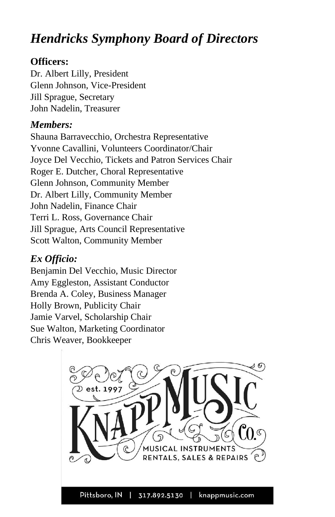# *Hendricks Symphony Board of Directors*

### **Officers:**

Dr. Albert Lilly, President Glenn Johnson, Vice-President Jill Sprague, Secretary John Nadelin, Treasurer

## *Members:*

Shauna Barravecchio, Orchestra Representative Yvonne Cavallini, Volunteers Coordinator/Chair Joyce Del Vecchio, Tickets and Patron Services Chair Roger E. Dutcher, Choral Representative Glenn Johnson, Community Member Dr. Albert Lilly, Community Member John Nadelin, Finance Chair Terri L. Ross, Governance Chair Jill Sprague, Arts Council Representative Scott Walton, Community Member

## *Ex Officio:*

Benjamin Del Vecchio, Music Director Amy Eggleston, Assistant Conductor Brenda A. Coley, Business Manager Holly Brown, Publicity Chair Jamie Varvel, Scholarship Chair Sue Walton, Marketing Coordinator Chris Weaver, Bookkeeper

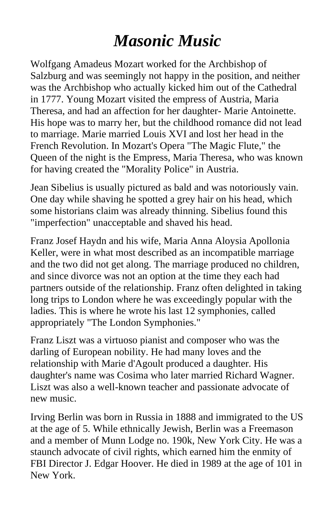# *Masonic Music*

Wolfgang Amadeus Mozart worked for the Archbishop of Salzburg and was seemingly not happy in the position, and neither was the Archbishop who actually kicked him out of the Cathedral in 1777. Young Mozart visited the empress of Austria, Maria Theresa, and had an affection for her daughter- Marie Antoinette. His hope was to marry her, but the childhood romance did not lead to marriage. Marie married Louis XVI and lost her head in the French Revolution. In Mozart's Opera "The Magic Flute," the Queen of the night is the Empress, Maria Theresa, who was known for having created the "Morality Police" in Austria.

Jean Sibelius is usually pictured as bald and was notoriously vain. One day while shaving he spotted a grey hair on his head, which some historians claim was already thinning. Sibelius found this "imperfection" unacceptable and shaved his head.

Franz Josef Haydn and his wife, Maria Anna Aloysia Apollonia Keller, were in what most described as an incompatible marriage and the two did not get along. The marriage produced no children, and since divorce was not an option at the time they each had partners outside of the relationship. Franz often delighted in taking long trips to London where he was exceedingly popular with the ladies. This is where he wrote his last 12 symphonies, called appropriately "The London Symphonies."

Franz Liszt was a virtuoso pianist and composer who was the darling of European nobility. He had many loves and the relationship with Marie d'Agoult produced a daughter. His daughter's name was Cosima who later married Richard Wagner. Liszt was also a well-known teacher and passionate advocate of new music.

Irving Berlin was born in Russia in 1888 and immigrated to the US at the age of 5. While ethnically Jewish, Berlin was a Freemason and a member of Munn Lodge no. 190k, New York City. He was a staunch advocate of civil rights, which earned him the enmity of FBI Director J. Edgar Hoover. He died in 1989 at the age of 101 in New York.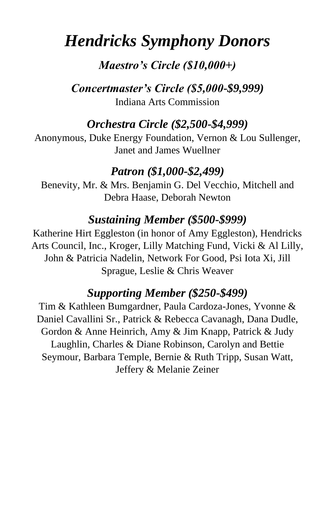# *Hendricks Symphony Donors*

## *Maestro's Circle (\$10,000+)*

*Concertmaster's Circle (\$5,000-\$9,999)* Indiana Arts Commission

## *Orchestra Circle (\$2,500-\$4,999)*

Anonymous, Duke Energy Foundation, Vernon & Lou Sullenger, Janet and James Wuellner

## *Patron (\$1,000-\$2,499)*

Benevity, Mr. & Mrs. Benjamin G. Del Vecchio, Mitchell and Debra Haase, Deborah Newton

## *Sustaining Member (\$500-\$999)*

Katherine Hirt Eggleston (in honor of Amy Eggleston), Hendricks Arts Council, Inc., Kroger, Lilly Matching Fund, Vicki & Al Lilly, John & Patricia Nadelin, Network For Good, Psi Iota Xi, Jill Sprague, Leslie & Chris Weaver

## *Supporting Member (\$250-\$499)*

Tim & Kathleen Bumgardner, Paula Cardoza-Jones, Yvonne & Daniel Cavallini Sr., Patrick & Rebecca Cavanagh, Dana Dudle, Gordon & Anne Heinrich, Amy & Jim Knapp, Patrick & Judy Laughlin, Charles & Diane Robinson, Carolyn and Bettie Seymour, Barbara Temple, Bernie & Ruth Tripp, Susan Watt, Jeffery & Melanie Zeiner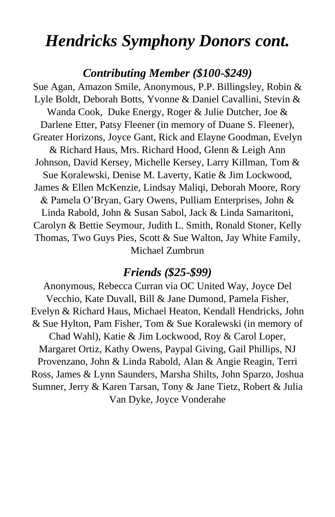# *Hendricks Symphony Donors cont.*

### *Contributing Member (\$100-\$249)*

Sue Agan, Amazon Smile, Anonymous, P.P. Billingsley, Robin & Lyle Boldt, Deborah Botts, Yvonne & Daniel Cavallini, Stevin & Wanda Cook, Duke Energy, Roger & Julie Dutcher, Joe & Darlene Etter, Patsy Fleener (in memory of Duane S. Fleener), Greater Horizons, Joyce Gant, Rick and Elayne Goodman, Evelyn & Richard Haus, Mrs. Richard Hood, Glenn & Leigh Ann Johnson, David Kersey, Michelle Kersey, Larry Killman, Tom & Sue Koralewski, Denise M. Laverty, Katie & Jim Lockwood, James & Ellen McKenzie, Lindsay Maliqi, Deborah Moore, Rory & Pamela O'Bryan, Gary Owens, Pulliam Enterprises, John & Linda Rabold, John & Susan Sabol, Jack & Linda Samaritoni, Carolyn & Bettie Seymour, Judith L. Smith, Ronald Stoner, Kelly Thomas, Two Guys Pies, Scott & Sue Walton, Jay White Family, Michael Zumbrun

### *Friends (\$25-\$99)*

Anonymous, Rebecca Curran via OC United Way, Joyce Del Vecchio, Kate Duvall, Bill & Jane Dumond, Pamela Fisher, Evelyn & Richard Haus, Michael Heaton, Kendall Hendricks, John & Sue Hylton, Pam Fisher, Tom & Sue Koralewski (in memory of Chad Wahl), Katie & Jim Lockwood, Roy & Carol Loper, Margaret Ortiz, Kathy Owens, Paypal Giving, Gail Phillips, NJ Provenzano, John & Linda Rabold, Alan & Angie Reagin, Terri Ross, James & Lynn Saunders, Marsha Shilts, John Sparzo, Joshua Sumner, Jerry & Karen Tarsan, Tony & Jane Tietz, Robert & Julia Van Dyke, Joyce Vonderahe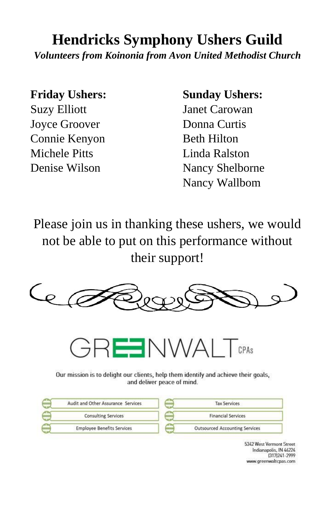# **Hendricks Symphony Ushers Guild**

*Volunteers from Koinonia from Avon United Methodist Church*

**Friday Ushers:**

Suzy Elliott Joyce Groover Connie Kenyon Michele Pitts Denise Wilson

### **Sunday Ushers:**

Janet Carowan Donna Curtis Beth Hilton Linda Ralston Nancy Shelborne Nancy Wallbom

Please join us in thanking these ushers, we would not be able to put on this performance without their support!





Our mission is to delight our clients, help them identify and achieve their goals, and deliver peace of mind.

| Audit and Other Assurance Services | <b>Tax Services</b>                   |
|------------------------------------|---------------------------------------|
| <b>Consulting Services</b>         | <b>Financial Services</b>             |
| <b>Employee Benefits Services</b>  | <b>Outsourced Accounting Services</b> |

5342 West Vermont Street Indianapolis, IN 46224 (317) 241-2999 www.greenwaltcpas.com